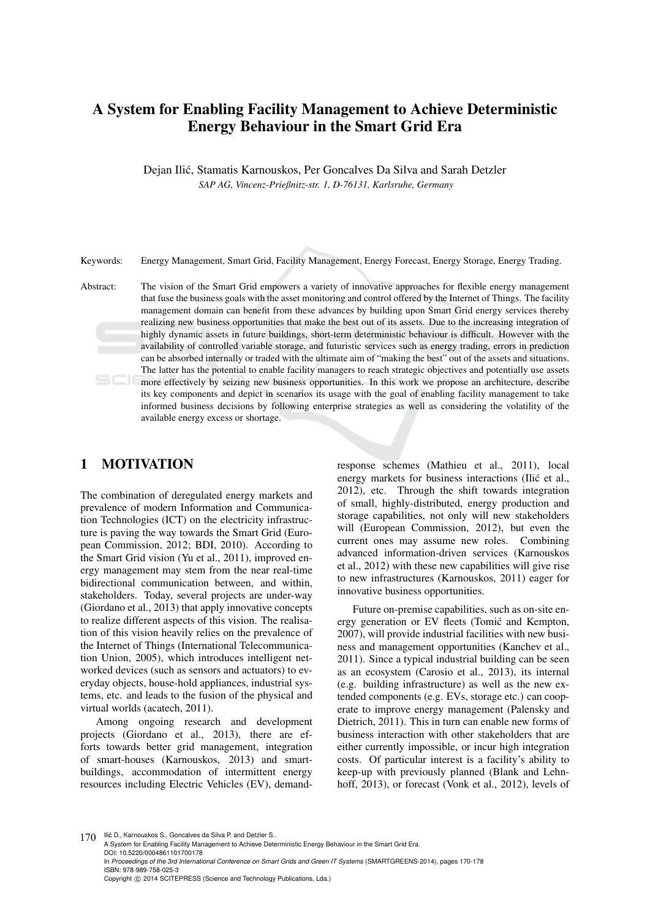# A System for Enabling Facility Management to Achieve Deterministic Energy Behaviour in the Smart Grid Era

Dejan Ilic, Stamatis Karnouskos, Per Goncalves Da Silva and Sarah Detzler ´ *SAP AG, Vincenz-Prießnitz-str. 1, D-76131, Karlsruhe, Germany*

Keywords: Energy Management, Smart Grid, Facility Management, Energy Forecast, Energy Storage, Energy Trading.

Abstract: The vision of the Smart Grid empowers a variety of innovative approaches for flexible energy management that fuse the business goals with the asset monitoring and control offered by the Internet of Things. The facility management domain can benefit from these advances by building upon Smart Grid energy services thereby realizing new business opportunities that make the best out of its assets. Due to the increasing integration of highly dynamic assets in future buildings, short-term deterministic behaviour is difficult. However with the availability of controlled variable storage, and futuristic services such as energy trading, errors in prediction can be absorbed internally or traded with the ultimate aim of "making the best" out of the assets and situations. The latter has the potential to enable facility managers to reach strategic objectives and potentially use assets more effectively by seizing new business opportunities. In this work we propose an architecture, describe its key components and depict in scenarios its usage with the goal of enabling facility management to take informed business decisions by following enterprise strategies as well as considering the volatility of the available energy excess or shortage.

# 1 MOTIVATION

The combination of deregulated energy markets and prevalence of modern Information and Communication Technologies (ICT) on the electricity infrastructure is paving the way towards the Smart Grid (European Commission, 2012; BDI, 2010). According to the Smart Grid vision (Yu et al., 2011), improved energy management may stem from the near real-time bidirectional communication between, and within, stakeholders. Today, several projects are under-way (Giordano et al., 2013) that apply innovative concepts to realize different aspects of this vision. The realisation of this vision heavily relies on the prevalence of the Internet of Things (International Telecommunication Union, 2005), which introduces intelligent networked devices (such as sensors and actuators) to everyday objects, house-hold appliances, industrial systems, etc. and leads to the fusion of the physical and virtual worlds (acatech, 2011).

Among ongoing research and development projects (Giordano et al., 2013), there are efforts towards better grid management, integration of smart-houses (Karnouskos, 2013) and smartbuildings, accommodation of intermittent energy resources including Electric Vehicles (EV), demandresponse schemes (Mathieu et al., 2011), local energy markets for business interactions (Ilić et al., 2012), etc. Through the shift towards integration of small, highly-distributed, energy production and storage capabilities, not only will new stakeholders will (European Commission, 2012), but even the current ones may assume new roles. Combining advanced information-driven services (Karnouskos et al., 2012) with these new capabilities will give rise to new infrastructures (Karnouskos, 2011) eager for innovative business opportunities.

Future on-premise capabilities, such as on-site energy generation or EV fleets (Tomić and Kempton, 2007), will provide industrial facilities with new business and management opportunities (Kanchev et al., 2011). Since a typical industrial building can be seen as an ecosystem (Carosio et al., 2013), its internal (e.g. building infrastructure) as well as the new extended components (e.g. EVs, storage etc.) can cooperate to improve energy management (Palensky and Dietrich, 2011). This in turn can enable new forms of business interaction with other stakeholders that are either currently impossible, or incur high integration costs. Of particular interest is a facility's ability to keep-up with previously planned (Blank and Lehnhoff, 2013), or forecast (Vonk et al., 2012), levels of

170 Ilić D., Karnouskos S., Goncalves da Silva P. and Detzler S.. A System for Enabling Facility Management to Achieve Deterministic Energy Behaviour in the Smart Grid Era. DOI: 10.5220/0004861101700178 In *Proceedings of the 3rd International Conference on Smart Grids and Green IT Systems* (SMARTGREENS-2014), pages 170-178 ISBN: 978-989-758-025-3 Copyright (C) 2014 SCITEPRESS (Science and Technology Publications, Lda.)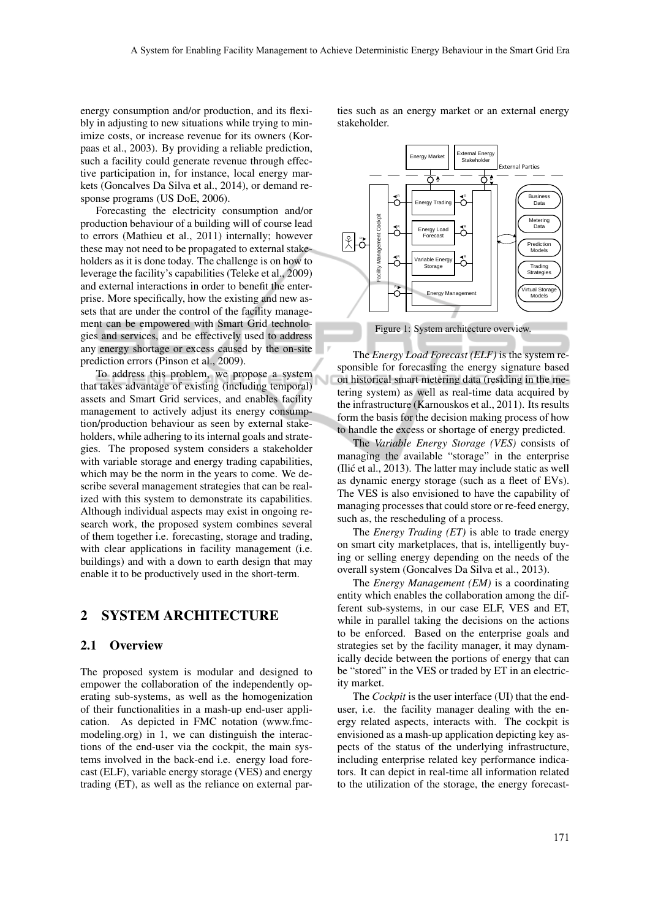energy consumption and/or production, and its flexibly in adjusting to new situations while trying to minimize costs, or increase revenue for its owners (Korpaas et al., 2003). By providing a reliable prediction, such a facility could generate revenue through effective participation in, for instance, local energy markets (Goncalves Da Silva et al., 2014), or demand response programs (US DoE, 2006).

Forecasting the electricity consumption and/or production behaviour of a building will of course lead to errors (Mathieu et al., 2011) internally; however these may not need to be propagated to external stakeholders as it is done today. The challenge is on how to leverage the facility's capabilities (Teleke et al., 2009) and external interactions in order to benefit the enterprise. More specifically, how the existing and new assets that are under the control of the facility management can be empowered with Smart Grid technologies and services, and be effectively used to address any energy shortage or excess caused by the on-site prediction errors (Pinson et al., 2009).

To address this problem, we propose a system that takes advantage of existing (including temporal) assets and Smart Grid services, and enables facility management to actively adjust its energy consumption/production behaviour as seen by external stakeholders, while adhering to its internal goals and strategies. The proposed system considers a stakeholder with variable storage and energy trading capabilities, which may be the norm in the years to come. We describe several management strategies that can be realized with this system to demonstrate its capabilities. Although individual aspects may exist in ongoing research work, the proposed system combines several of them together i.e. forecasting, storage and trading, with clear applications in facility management (i.e. buildings) and with a down to earth design that may enable it to be productively used in the short-term.

### 2 SYSTEM ARCHITECTURE

#### 2.1 Overview

The proposed system is modular and designed to empower the collaboration of the independently operating sub-systems, as well as the homogenization of their functionalities in a mash-up end-user application. As depicted in FMC notation (www.fmcmodeling.org) in 1, we can distinguish the interactions of the end-user via the cockpit, the main systems involved in the back-end i.e. energy load forecast (ELF), variable energy storage (VES) and energy trading (ET), as well as the reliance on external parties such as an energy market or an external energy stakeholder.



The *Energy Load Forecast (ELF)* is the system responsible for forecasting the energy signature based on historical smart metering data (residing in the metering system) as well as real-time data acquired by the infrastructure (Karnouskos et al., 2011). Its results form the basis for the decision making process of how to handle the excess or shortage of energy predicted.

The *Variable Energy Storage (VES)* consists of managing the available "storage" in the enterprise (Ilić et al., 2013). The latter may include static as well as dynamic energy storage (such as a fleet of EVs). The VES is also envisioned to have the capability of managing processes that could store or re-feed energy, such as, the rescheduling of a process.

The *Energy Trading (ET)* is able to trade energy on smart city marketplaces, that is, intelligently buying or selling energy depending on the needs of the overall system (Goncalves Da Silva et al., 2013).

The *Energy Management (EM)* is a coordinating entity which enables the collaboration among the different sub-systems, in our case ELF, VES and ET, while in parallel taking the decisions on the actions to be enforced. Based on the enterprise goals and strategies set by the facility manager, it may dynamically decide between the portions of energy that can be "stored" in the VES or traded by ET in an electricity market.

The *Cockpit* is the user interface (UI) that the enduser, i.e. the facility manager dealing with the energy related aspects, interacts with. The cockpit is envisioned as a mash-up application depicting key aspects of the status of the underlying infrastructure, including enterprise related key performance indicators. It can depict in real-time all information related to the utilization of the storage, the energy forecast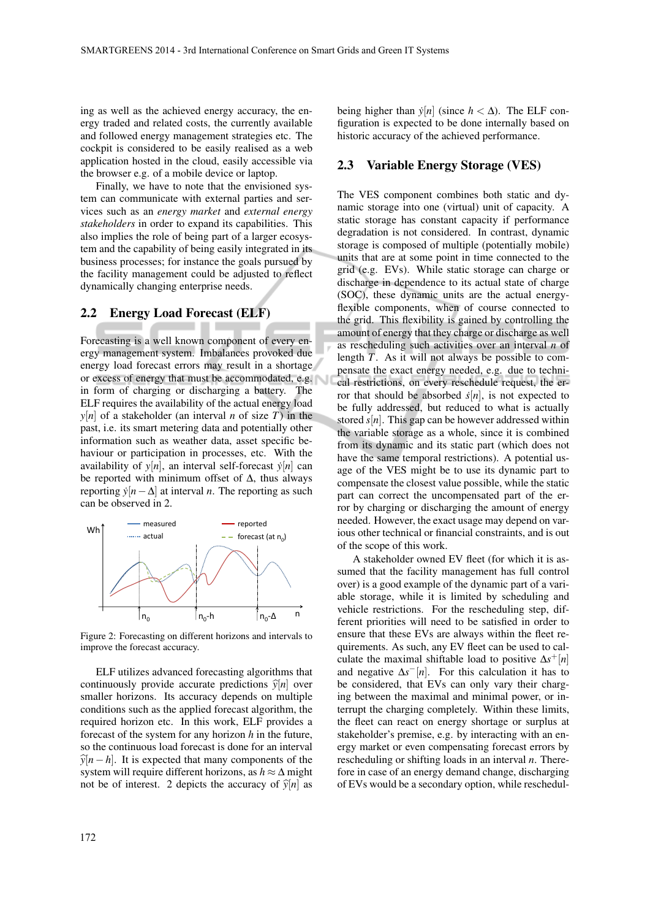ing as well as the achieved energy accuracy, the energy traded and related costs, the currently available and followed energy management strategies etc. The cockpit is considered to be easily realised as a web application hosted in the cloud, easily accessible via the browser e.g. of a mobile device or laptop.

Finally, we have to note that the envisioned system can communicate with external parties and services such as an *energy market* and *external energy stakeholders* in order to expand its capabilities. This also implies the role of being part of a larger ecosystem and the capability of being easily integrated in its business processes; for instance the goals pursued by the facility management could be adjusted to reflect dynamically changing enterprise needs.

#### 2.2 Energy Load Forecast (ELF)

Forecasting is a well known component of every energy management system. Imbalances provoked due energy load forecast errors may result in a shortage or excess of energy that must be accommodated, e.g. in form of charging or discharging a battery. The ELF requires the availability of the actual energy load  $y[n]$  of a stakeholder (an interval *n* of size *T*) in the past, i.e. its smart metering data and potentially other information such as weather data, asset specific behaviour or participation in processes, etc. With the availability of  $y[n]$ , an interval self-forecast  $\dot{y}[n]$  can be reported with minimum offset of ∆, thus always reporting  $\dot{y}[n-\Delta]$  at interval *n*. The reporting as such can be observed in 2.



Figure 2: Forecasting on different horizons and intervals to improve the forecast accuracy.

ELF utilizes advanced forecasting algorithms that continuously provide accurate predictions  $\hat{y}[n]$  over smaller horizons. Its accuracy depends on multiple conditions such as the applied forecast algorithm, the required horizon etc. In this work, ELF provides a forecast of the system for any horizon *h* in the future, so the continuous load forecast is done for an interval  $\hat{y}[n-h]$ . It is expected that many components of the system will require different horizons, as *h* ≈ ∆ might not be of interest. 2 depicts the accuracy of  $\hat{y}[n]$  as

#### 2.3 Variable Energy Storage (VES)

The VES component combines both static and dynamic storage into one (virtual) unit of capacity. A static storage has constant capacity if performance degradation is not considered. In contrast, dynamic storage is composed of multiple (potentially mobile) units that are at some point in time connected to the grid (e.g. EVs). While static storage can charge or discharge in dependence to its actual state of charge (SOC), these dynamic units are the actual energyflexible components, when of course connected to the grid. This flexibility is gained by controlling the amount of energy that they charge or discharge as well as rescheduling such activities over an interval *n* of length *T*. As it will not always be possible to compensate the exact energy needed, e.g. due to technical restrictions, on every reschedule request, the error that should be absorbed  $\dot{s}[n]$ , is not expected to be fully addressed, but reduced to what is actually stored  $s[n]$ . This gap can be however addressed within the variable storage as a whole, since it is combined from its dynamic and its static part (which does not have the same temporal restrictions). A potential usage of the VES might be to use its dynamic part to compensate the closest value possible, while the static part can correct the uncompensated part of the error by charging or discharging the amount of energy needed. However, the exact usage may depend on various other technical or financial constraints, and is out of the scope of this work.

A stakeholder owned EV fleet (for which it is assumed that the facility management has full control over) is a good example of the dynamic part of a variable storage, while it is limited by scheduling and vehicle restrictions. For the rescheduling step, different priorities will need to be satisfied in order to ensure that these EVs are always within the fleet requirements. As such, any EV fleet can be used to calculate the maximal shiftable load to positive ∆*s* <sup>+</sup>[*n*] and negative  $\Delta s^{-}[n]$ . For this calculation it has to be considered, that EVs can only vary their charging between the maximal and minimal power, or interrupt the charging completely. Within these limits, the fleet can react on energy shortage or surplus at stakeholder's premise, e.g. by interacting with an energy market or even compensating forecast errors by rescheduling or shifting loads in an interval *n*. Therefore in case of an energy demand change, discharging of EVs would be a secondary option, while reschedul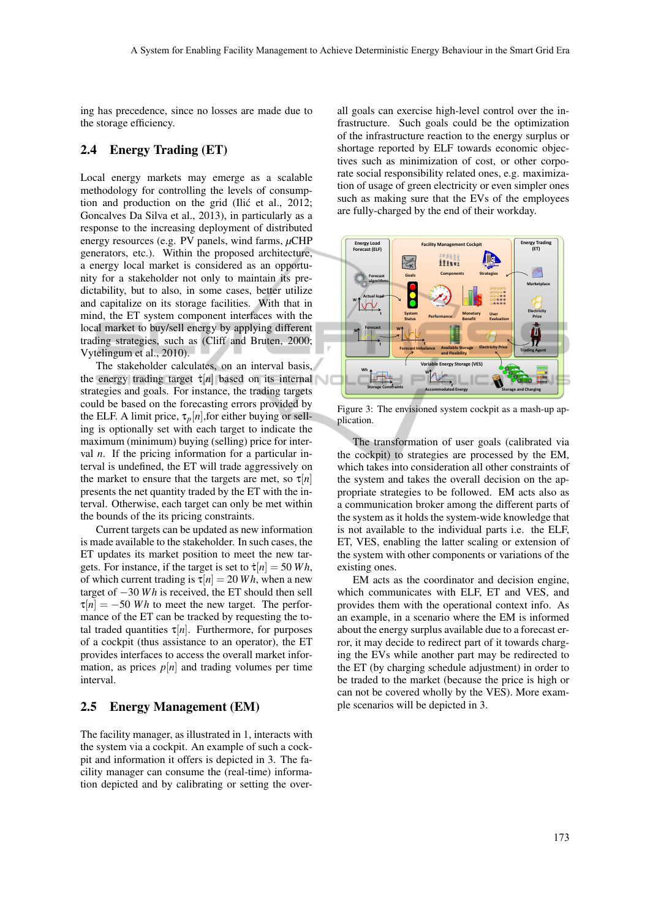ing has precedence, since no losses are made due to the storage efficiency.

### 2.4 Energy Trading (ET)

Local energy markets may emerge as a scalable methodology for controlling the levels of consumption and production on the grid (Ilić et al., 2012; Goncalves Da Silva et al., 2013), in particularly as a response to the increasing deployment of distributed energy resources (e.g. PV panels, wind farms, *µ*CHP generators, etc.). Within the proposed architecture, a energy local market is considered as an opportunity for a stakeholder not only to maintain its predictability, but to also, in some cases, better utilize and capitalize on its storage facilities. With that in mind, the ET system component interfaces with the local market to buy/sell energy by applying different trading strategies, such as (Cliff and Bruten, 2000; Vytelingum et al., 2010).

The stakeholder calculates, on an interval basis, the energy trading target  $\dot{\tau}[n]$  based on its internal strategies and goals. For instance, the trading targets could be based on the forecasting errors provided by the ELF. A limit price,  $\tau_p[n]$ , for either buying or selling is optionally set with each target to indicate the maximum (minimum) buying (selling) price for interval *n*. If the pricing information for a particular interval is undefined, the ET will trade aggressively on the market to ensure that the targets are met, so  $\tau[n]$ presents the net quantity traded by the ET with the interval. Otherwise, each target can only be met within the bounds of the its pricing constraints.

Current targets can be updated as new information is made available to the stakeholder. In such cases, the ET updates its market position to meet the new targets. For instance, if the target is set to  $\dot{\tau}[n] = 50$  *Wh*, of which current trading is  $\tau[n] = 20 Wh$ , when a new target of −30 *W h* is received, the ET should then sell  $\tau[n] = -50$  *Wh* to meet the new target. The performance of the ET can be tracked by requesting the total traded quantities  $\tau[n]$ . Furthermore, for purposes of a cockpit (thus assistance to an operator), the ET provides interfaces to access the overall market information, as prices  $p[n]$  and trading volumes per time interval.

#### 2.5 Energy Management (EM)

The facility manager, as illustrated in 1, interacts with the system via a cockpit. An example of such a cockpit and information it offers is depicted in 3. The facility manager can consume the (real-time) information depicted and by calibrating or setting the over-

all goals can exercise high-level control over the infrastructure. Such goals could be the optimization of the infrastructure reaction to the energy surplus or shortage reported by ELF towards economic objectives such as minimization of cost, or other corporate social responsibility related ones, e.g. maximization of usage of green electricity or even simpler ones such as making sure that the EVs of the employees are fully-charged by the end of their workday.



Figure 3: The envisioned system cockpit as a mash-up application.

The transformation of user goals (calibrated via the cockpit) to strategies are processed by the EM, which takes into consideration all other constraints of the system and takes the overall decision on the appropriate strategies to be followed. EM acts also as a communication broker among the different parts of the system as it holds the system-wide knowledge that is not available to the individual parts i.e. the ELF, ET, VES, enabling the latter scaling or extension of the system with other components or variations of the existing ones.

EM acts as the coordinator and decision engine, which communicates with ELF, ET and VES, and provides them with the operational context info. As an example, in a scenario where the EM is informed about the energy surplus available due to a forecast error, it may decide to redirect part of it towards charging the EVs while another part may be redirected to the ET (by charging schedule adjustment) in order to be traded to the market (because the price is high or can not be covered wholly by the VES). More example scenarios will be depicted in 3.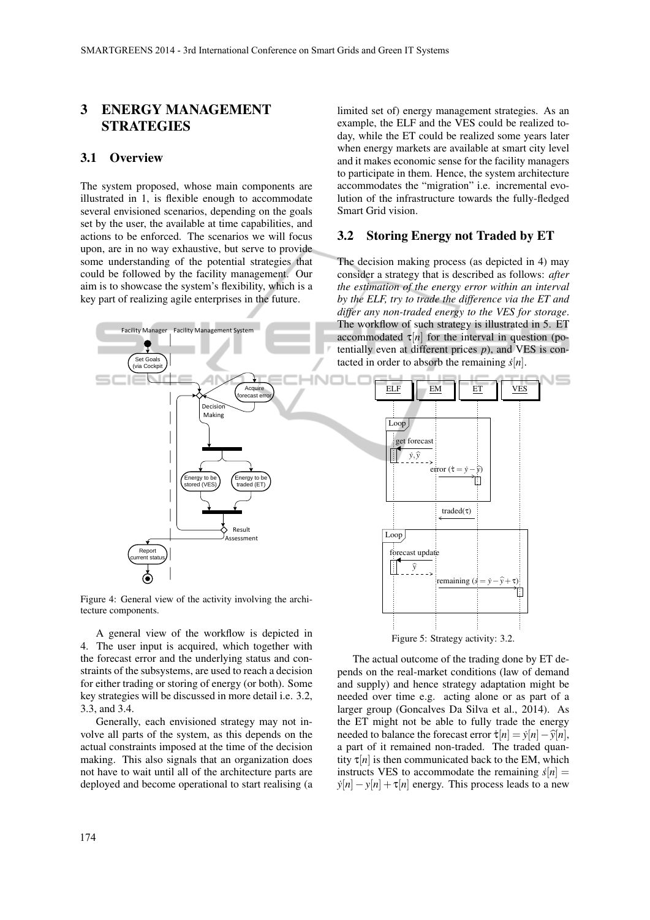# 3 ENERGY MANAGEMENT **STRATEGIES**

#### 3.1 Overview

The system proposed, whose main components are illustrated in 1, is flexible enough to accommodate several envisioned scenarios, depending on the goals set by the user, the available at time capabilities, and actions to be enforced. The scenarios we will focus upon, are in no way exhaustive, but serve to provide some understanding of the potential strategies that could be followed by the facility management. Our aim is to showcase the system's flexibility, which is a key part of realizing agile enterprises in the future.



Figure 4: General view of the activity involving the architecture components.

A general view of the workflow is depicted in 4. The user input is acquired, which together with the forecast error and the underlying status and constraints of the subsystems, are used to reach a decision for either trading or storing of energy (or both). Some key strategies will be discussed in more detail i.e. 3.2, 3.3, and 3.4.

Generally, each envisioned strategy may not involve all parts of the system, as this depends on the actual constraints imposed at the time of the decision making. This also signals that an organization does not have to wait until all of the architecture parts are deployed and become operational to start realising (a

limited set of) energy management strategies. As an example, the ELF and the VES could be realized today, while the ET could be realized some years later when energy markets are available at smart city level and it makes economic sense for the facility managers to participate in them. Hence, the system architecture accommodates the "migration" i.e. incremental evolution of the infrastructure towards the fully-fledged Smart Grid vision.

#### 3.2 Storing Energy not Traded by ET

The decision making process (as depicted in 4) may consider a strategy that is described as follows: *after the estimation of the energy error within an interval by the ELF, try to trade the difference via the ET and differ any non-traded energy to the VES for storage*. The workflow of such strategy is illustrated in 5. ET accommodated  $\tau[n]$  for the interval in question (potentially even at different prices  $p$ ), and VES is contacted in order to absorb the remaining  $\dot{s}[n]$ .



The actual outcome of the trading done by ET depends on the real-market conditions (law of demand and supply) and hence strategy adaptation might be needed over time e.g. acting alone or as part of a larger group (Goncalves Da Silva et al., 2014). As the ET might not be able to fully trade the energy needed to balance the forecast error  $\dot{\tau}[n] = \dot{y}[n] - \hat{y}[n],$ a part of it remained non-traded. The traded quantity  $\tau[n]$  is then communicated back to the EM, which instructs VES to accommodate the remaining  $\dot{s}[n] =$  $y[n]-y[n]+\tau[n]$  energy. This process leads to a new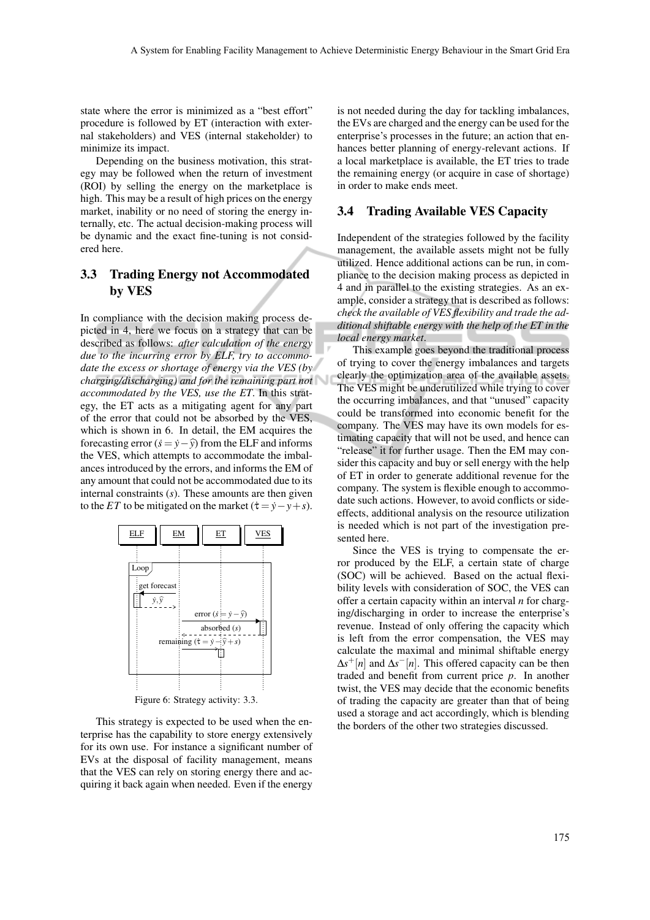state where the error is minimized as a "best effort" procedure is followed by ET (interaction with external stakeholders) and VES (internal stakeholder) to minimize its impact.

Depending on the business motivation, this strategy may be followed when the return of investment (ROI) by selling the energy on the marketplace is high. This may be a result of high prices on the energy market, inability or no need of storing the energy internally, etc. The actual decision-making process will be dynamic and the exact fine-tuning is not considered here.

# 3.3 Trading Energy not Accommodated by VES

In compliance with the decision making process depicted in 4, here we focus on a strategy that can be described as follows: *after calculation of the energy due to the incurring error by ELF, try to accommodate the excess or shortage of energy via the VES (by charging/discharging) and for the remaining part not accommodated by the VES, use the ET*. In this strategy, the ET acts as a mitigating agent for any part of the error that could not be absorbed by the VES, which is shown in 6. In detail, the EM acquires the forecasting error  $(s = \hat{y} - \hat{y})$  from the ELF and informs the VES, which attempts to accommodate the imbalances introduced by the errors, and informs the EM of any amount that could not be accommodated due to its internal constraints (*s*). These amounts are then given to the *ET* to be mitigated on the market ( $\dot{\tau} = \dot{y} - y + s$ ).



Figure 6: Strategy activity: 3.3.

This strategy is expected to be used when the enterprise has the capability to store energy extensively for its own use. For instance a significant number of EVs at the disposal of facility management, means that the VES can rely on storing energy there and acquiring it back again when needed. Even if the energy

is not needed during the day for tackling imbalances, the EVs are charged and the energy can be used for the enterprise's processes in the future; an action that enhances better planning of energy-relevant actions. If a local marketplace is available, the ET tries to trade the remaining energy (or acquire in case of shortage) in order to make ends meet.

#### 3.4 Trading Available VES Capacity

Independent of the strategies followed by the facility management, the available assets might not be fully utilized. Hence additional actions can be run, in compliance to the decision making process as depicted in 4 and in parallel to the existing strategies. As an example, consider a strategy that is described as follows: *check the available of VES flexibility and trade the additional shiftable energy with the help of the ET in the local energy market*.

This example goes beyond the traditional process of trying to cover the energy imbalances and targets clearly the optimization area of the available assets. The VES might be underutilized while trying to cover the occurring imbalances, and that "unused" capacity could be transformed into economic benefit for the company. The VES may have its own models for estimating capacity that will not be used, and hence can "release" it for further usage. Then the EM may consider this capacity and buy or sell energy with the help of ET in order to generate additional revenue for the company. The system is flexible enough to accommodate such actions. However, to avoid conflicts or sideeffects, additional analysis on the resource utilization is needed which is not part of the investigation presented here.

Since the VES is trying to compensate the error produced by the ELF, a certain state of charge (SOC) will be achieved. Based on the actual flexibility levels with consideration of SOC, the VES can offer a certain capacity within an interval *n* for charging/discharging in order to increase the enterprise's revenue. Instead of only offering the capacity which is left from the error compensation, the VES may calculate the maximal and minimal shiftable energy ∆*s* <sup>+</sup>[*n*] and ∆*s* <sup>−</sup>[*n*]. This offered capacity can be then traded and benefit from current price *p*. In another twist, the VES may decide that the economic benefits of trading the capacity are greater than that of being used a storage and act accordingly, which is blending the borders of the other two strategies discussed.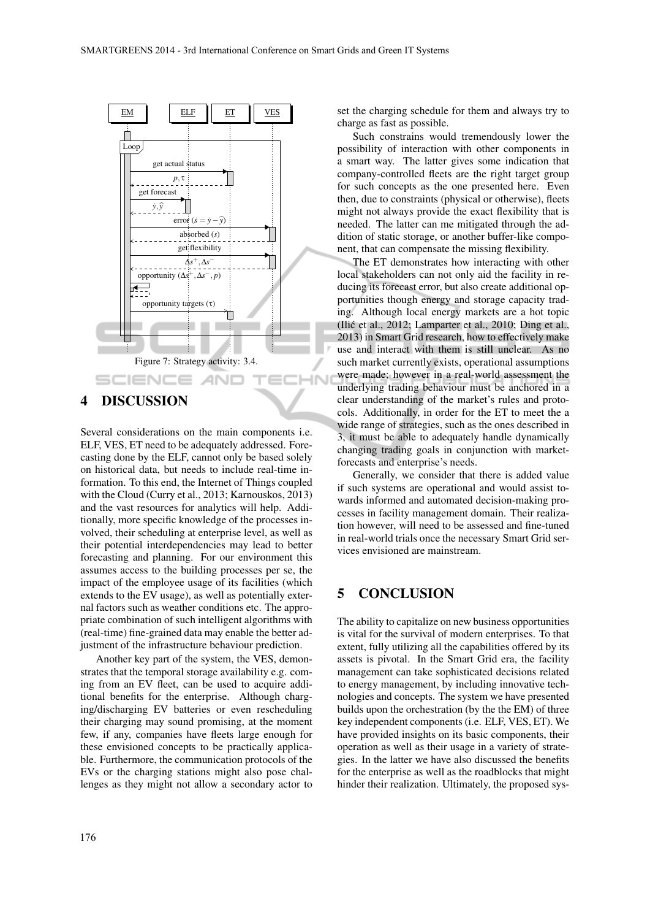

# 4 DISCUSSION

Several considerations on the main components i.e. ELF, VES, ET need to be adequately addressed. Forecasting done by the ELF, cannot only be based solely on historical data, but needs to include real-time information. To this end, the Internet of Things coupled with the Cloud (Curry et al., 2013; Karnouskos, 2013) and the vast resources for analytics will help. Additionally, more specific knowledge of the processes involved, their scheduling at enterprise level, as well as their potential interdependencies may lead to better forecasting and planning. For our environment this assumes access to the building processes per se, the impact of the employee usage of its facilities (which extends to the EV usage), as well as potentially external factors such as weather conditions etc. The appropriate combination of such intelligent algorithms with (real-time) fine-grained data may enable the better adjustment of the infrastructure behaviour prediction.

Another key part of the system, the VES, demonstrates that the temporal storage availability e.g. coming from an EV fleet, can be used to acquire additional benefits for the enterprise. Although charging/discharging EV batteries or even rescheduling their charging may sound promising, at the moment few, if any, companies have fleets large enough for these envisioned concepts to be practically applicable. Furthermore, the communication protocols of the EVs or the charging stations might also pose challenges as they might not allow a secondary actor to

set the charging schedule for them and always try to charge as fast as possible.

Such constrains would tremendously lower the possibility of interaction with other components in a smart way. The latter gives some indication that company-controlled fleets are the right target group for such concepts as the one presented here. Even then, due to constraints (physical or otherwise), fleets might not always provide the exact flexibility that is needed. The latter can me mitigated through the addition of static storage, or another buffer-like component, that can compensate the missing flexibility.

The ET demonstrates how interacting with other local stakeholders can not only aid the facility in reducing its forecast error, but also create additional opportunities though energy and storage capacity trading. Although local energy markets are a hot topic (Ilic et al., 2012; Lamparter et al., 2010; Ding et al., ´ 2013) in Smart Grid research, how to effectively make use and interact with them is still unclear. As no such market currently exists, operational assumptions were made; however in a real-world assessment the underlying trading behaviour must be anchored in a clear understanding of the market's rules and protocols. Additionally, in order for the ET to meet the a wide range of strategies, such as the ones described in 3, it must be able to adequately handle dynamically changing trading goals in conjunction with marketforecasts and enterprise's needs.

Generally, we consider that there is added value if such systems are operational and would assist towards informed and automated decision-making processes in facility management domain. Their realization however, will need to be assessed and fine-tuned in real-world trials once the necessary Smart Grid services envisioned are mainstream.

# 5 CONCLUSION

The ability to capitalize on new business opportunities is vital for the survival of modern enterprises. To that extent, fully utilizing all the capabilities offered by its assets is pivotal. In the Smart Grid era, the facility management can take sophisticated decisions related to energy management, by including innovative technologies and concepts. The system we have presented builds upon the orchestration (by the the EM) of three key independent components (i.e. ELF, VES, ET). We have provided insights on its basic components, their operation as well as their usage in a variety of strategies. In the latter we have also discussed the benefits for the enterprise as well as the roadblocks that might hinder their realization. Ultimately, the proposed sys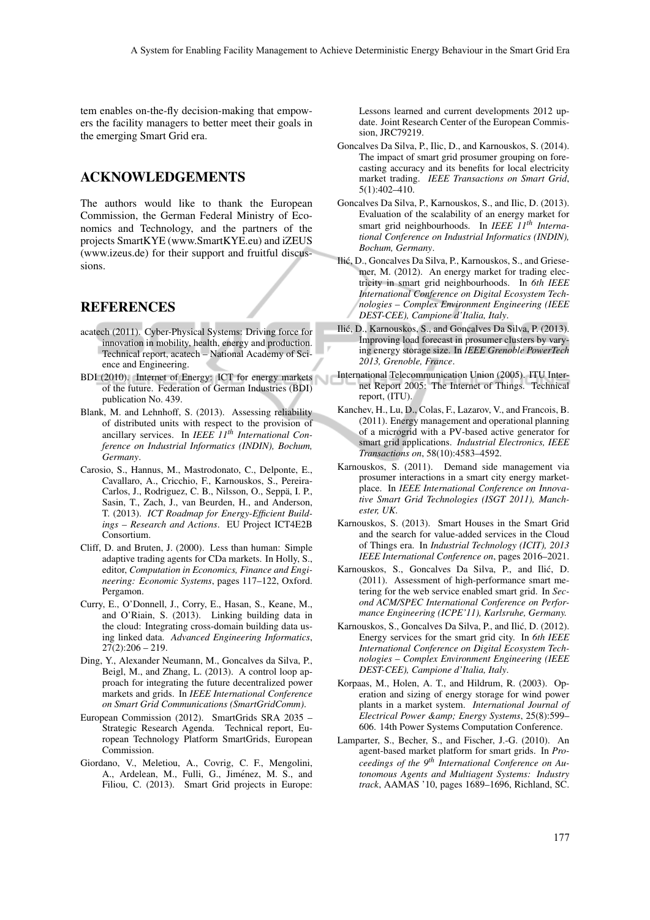tem enables on-the-fly decision-making that empowers the facility managers to better meet their goals in the emerging Smart Grid era.

### ACKNOWLEDGEMENTS

The authors would like to thank the European Commission, the German Federal Ministry of Economics and Technology, and the partners of the projects SmartKYE (www.SmartKYE.eu) and iZEUS (www.izeus.de) for their support and fruitful discussions.

### **REFERENCES**

- acatech (2011). Cyber-Physical Systems: Driving force for innovation in mobility, health, energy and production. Technical report, acatech – National Academy of Science and Engineering.
- BDI (2010). Internet of Energy: ICT for energy markets of the future. Federation of German Industries (BDI) publication No. 439.
- Blank, M. and Lehnhoff, S. (2013). Assessing reliability of distributed units with respect to the provision of ancillary services. In *IEEE 11th International Conference on Industrial Informatics (INDIN), Bochum, Germany*.
- Carosio, S., Hannus, M., Mastrodonato, C., Delponte, E., Cavallaro, A., Cricchio, F., Karnouskos, S., Pereira-Carlos, J., Rodriguez, C. B., Nilsson, O., Seppa, I. P., ¨ Sasin, T., Zach, J., van Beurden, H., and Anderson, T. (2013). *ICT Roadmap for Energy-Efficient Buildings – Research and Actions*. EU Project ICT4E2B Consortium.
- Cliff, D. and Bruten, J. (2000). Less than human: Simple adaptive trading agents for CDa markets. In Holly, S., editor, *Computation in Economics, Finance and Engineering: Economic Systems*, pages 117–122, Oxford. Pergamon.
- Curry, E., O'Donnell, J., Corry, E., Hasan, S., Keane, M., and O'Riain, S. (2013). Linking building data in the cloud: Integrating cross-domain building data using linked data. *Advanced Engineering Informatics*,  $27(2):206 - 219.$
- Ding, Y., Alexander Neumann, M., Goncalves da Silva, P., Beigl, M., and Zhang, L. (2013). A control loop approach for integrating the future decentralized power markets and grids. In *IEEE International Conference on Smart Grid Communications (SmartGridComm)*.
- European Commission (2012). SmartGrids SRA 2035 Strategic Research Agenda. Technical report, European Technology Platform SmartGrids, European Commission.
- Giordano, V., Meletiou, A., Covrig, C. F., Mengolini, A., Ardelean, M., Fulli, G., Jiménez, M. S., and Filiou, C. (2013). Smart Grid projects in Europe:

Lessons learned and current developments 2012 update. Joint Research Center of the European Commission, JRC79219.

- Goncalves Da Silva, P., Ilic, D., and Karnouskos, S. (2014). The impact of smart grid prosumer grouping on forecasting accuracy and its benefits for local electricity market trading. *IEEE Transactions on Smart Grid*, 5(1):402–410.
- Goncalves Da Silva, P., Karnouskos, S., and Ilic, D. (2013). Evaluation of the scalability of an energy market for smart grid neighbourhoods. In *IEEE 11th International Conference on Industrial Informatics (INDIN), Bochum, Germany*.
- Ilic, D., Goncalves Da Silva, P., Karnouskos, S., and Griese- ´ mer, M. (2012). An energy market for trading electricity in smart grid neighbourhoods. In *6th IEEE International Conference on Digital Ecosystem Technologies – Complex Environment Engineering (IEEE DEST-CEE), Campione d'Italia, Italy*.
- Ilic, D., Karnouskos, S., and Goncalves Da Silva, P. (2013). ´ Improving load forecast in prosumer clusters by varying energy storage size. In *IEEE Grenoble PowerTech 2013, Grenoble, France*.
- International Telecommunication Union (2005). ITU Internet Report 2005: The Internet of Things. Technical report, (ITU).
- Kanchev, H., Lu, D., Colas, F., Lazarov, V., and Francois, B. (2011). Energy management and operational planning of a microgrid with a PV-based active generator for smart grid applications. *Industrial Electronics, IEEE Transactions on*, 58(10):4583–4592.
- Karnouskos, S. (2011). Demand side management via prosumer interactions in a smart city energy marketplace. In *IEEE International Conference on Innovative Smart Grid Technologies (ISGT 2011), Manchester, UK*.
- Karnouskos, S. (2013). Smart Houses in the Smart Grid and the search for value-added services in the Cloud of Things era. In *Industrial Technology (ICIT), 2013 IEEE International Conference on*, pages 2016–2021.
- Karnouskos, S., Goncalves Da Silva, P., and Ilic, D. ´ (2011). Assessment of high-performance smart metering for the web service enabled smart grid. In *Second ACM/SPEC International Conference on Performance Engineering (ICPE'11), Karlsruhe, Germany.*
- Karnouskos, S., Goncalves Da Silva, P., and Ilic, D. (2012). ´ Energy services for the smart grid city. In *6th IEEE International Conference on Digital Ecosystem Technologies – Complex Environment Engineering (IEEE DEST-CEE), Campione d'Italia, Italy*.
- Korpaas, M., Holen, A. T., and Hildrum, R. (2003). Operation and sizing of energy storage for wind power plants in a market system. *International Journal of Electrical Power & Energy Systems*, 25(8):599– 606. 14th Power Systems Computation Conference.
- Lamparter, S., Becher, S., and Fischer, J.-G. (2010). An agent-based market platform for smart grids. In *Proceedings of the 9th International Conference on Autonomous Agents and Multiagent Systems: Industry track*, AAMAS '10, pages 1689–1696, Richland, SC.